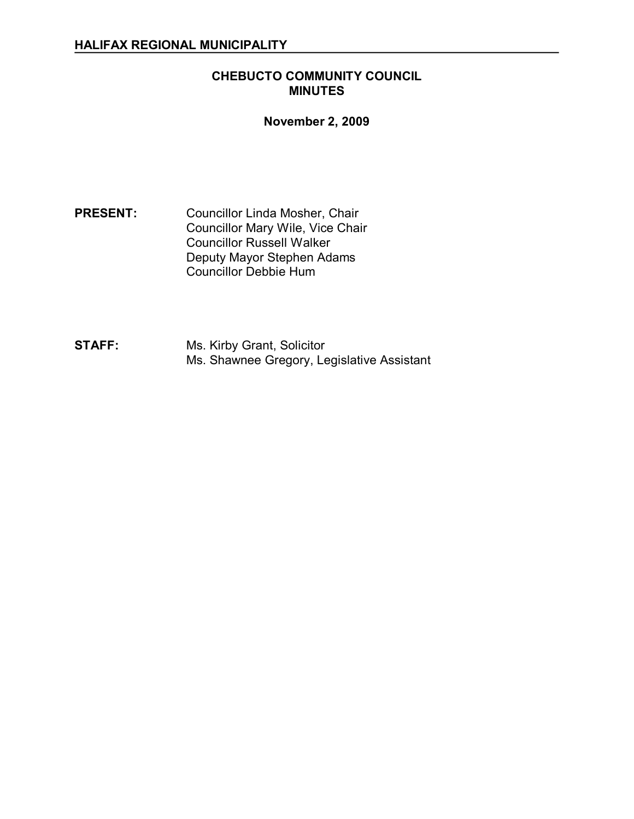### **CHEBUCTO COMMUNITY COUNCIL MINUTES**

### **November 2, 2009**

**PRESENT:** Councillor Linda Mosher, Chair Councillor Mary Wile, Vice Chair Councillor Russell Walker Deputy Mayor Stephen Adams Councillor Debbie Hum

**STAFF:** Ms. Kirby Grant, Solicitor Ms. Shawnee Gregory, Legislative Assistant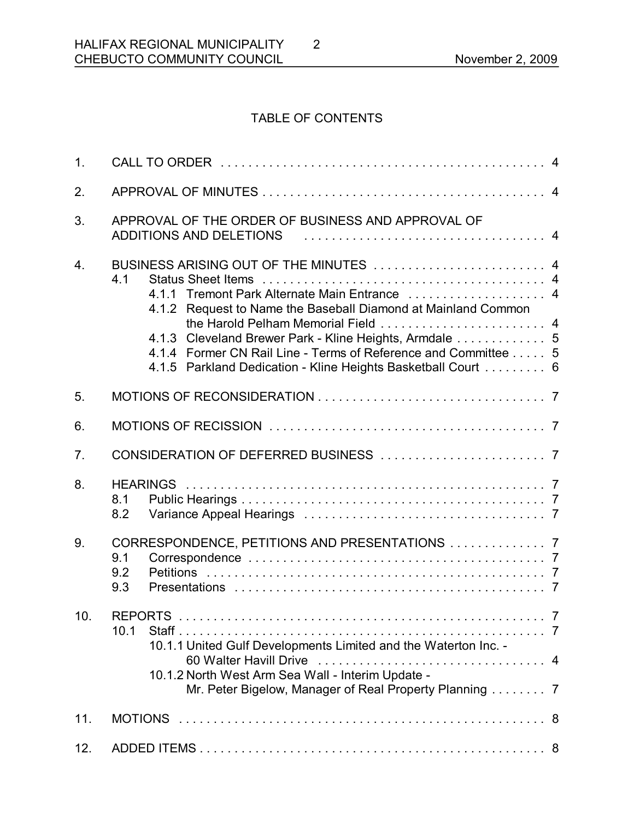# TABLE OF CONTENTS

2

| 1 <sub>1</sub>   |                                                                                                                                                                                                                                                                                                                                                             |
|------------------|-------------------------------------------------------------------------------------------------------------------------------------------------------------------------------------------------------------------------------------------------------------------------------------------------------------------------------------------------------------|
| 2.               |                                                                                                                                                                                                                                                                                                                                                             |
| 3.               | APPROVAL OF THE ORDER OF BUSINESS AND APPROVAL OF<br>ADDITIONS AND DELETIONS ALL ALL ALL ALL ALL ALL AND ADDITIONS AND DELETIONS                                                                                                                                                                                                                            |
| $\overline{4}$ . | BUSINESS ARISING OUT OF THE MINUTES  4<br>4.1<br>4.1.1 Tremont Park Alternate Main Entrance  4<br>4.1.2 Request to Name the Baseball Diamond at Mainland Common<br>4.1.3 Cleveland Brewer Park - Kline Heights, Armdale 5<br>4.1.4 Former CN Rail Line - Terms of Reference and Committee 5<br>4.1.5 Parkland Dedication - Kline Heights Basketball Court 6 |
| 5.               |                                                                                                                                                                                                                                                                                                                                                             |
| 6.               |                                                                                                                                                                                                                                                                                                                                                             |
| 7 <sub>1</sub>   |                                                                                                                                                                                                                                                                                                                                                             |
| 8.               | 8.1<br>8.2                                                                                                                                                                                                                                                                                                                                                  |
| 9.               | CORRESPONDENCE, PETITIONS AND PRESENTATIONS  7<br>9.1<br>9.2<br>9.3                                                                                                                                                                                                                                                                                         |
| 10.              | <b>REPORTS</b><br>$\overline{7}$<br>10.1<br>10.1.1 United Gulf Developments Limited and the Waterton Inc. -<br>10.1.2 North West Arm Sea Wall - Interim Update -<br>Mr. Peter Bigelow, Manager of Real Property Planning 7                                                                                                                                  |
| 11.              |                                                                                                                                                                                                                                                                                                                                                             |
| 12.              |                                                                                                                                                                                                                                                                                                                                                             |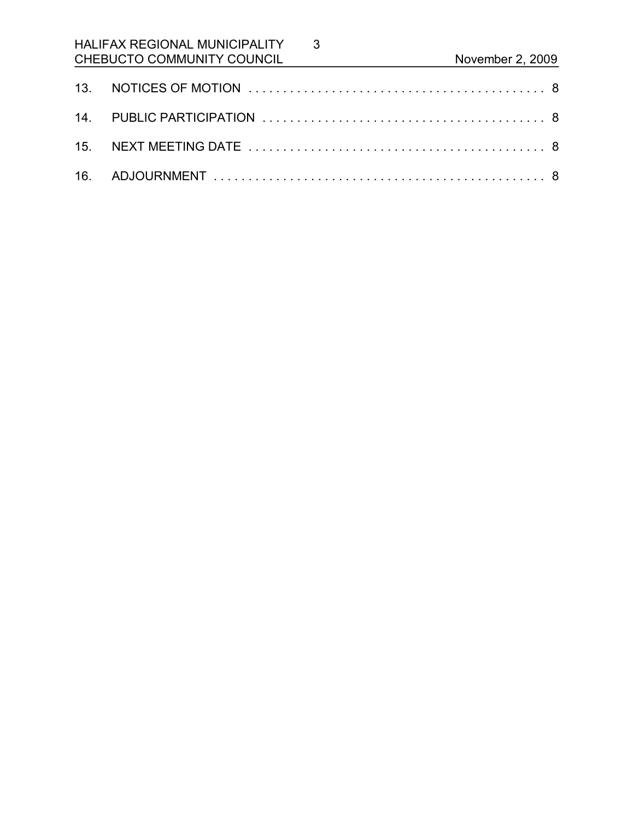# HALIFAX REGIONAL MUNICIPALITY CHEBUCTO COMMUNITY COUNCIL November 2, 2009

3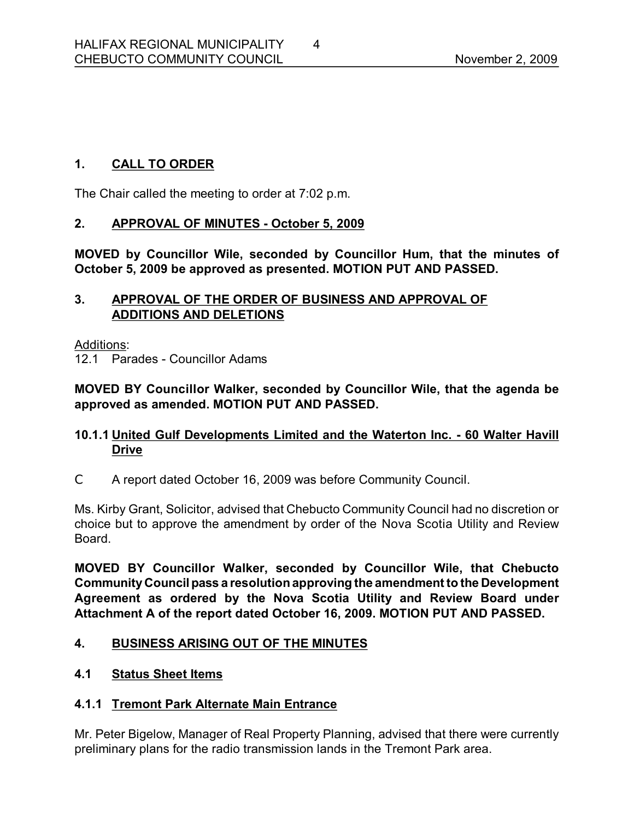# **1. CALL TO ORDER**

The Chair called the meeting to order at 7:02 p.m.

### **2. APPROVAL OF MINUTES October 5, 2009**

**MOVED by Councillor Wile, seconded by Councillor Hum, that the minutes of October 5, 2009 be approved as presented. MOTION PUT AND PASSED.** 

### **3. APPROVAL OF THE ORDER OF BUSINESS AND APPROVAL OF ADDITIONS AND DELETIONS**

Additions:

12.1 Parades - Councillor Adams

**MOVED BY Councillor Walker, seconded by Councillor Wile, that the agenda be approved as amended. MOTION PUT AND PASSED.** 

# **10.1.1 United Gulf Developments Limited and the Waterton Inc. 60 Walter Havill Drive**

C A report dated October 16, 2009 was before Community Council.

Ms. Kirby Grant, Solicitor, advised that Chebucto Community Council had no discretion or choice but to approve the amendment by order of the Nova Scotia Utility and Review **Board** 

**MOVED BY Councillor Walker, seconded by Councillor Wile, that Chebucto CommunityCouncilpass a resolutionapproving the amendment to the Development Agreement as ordered by the Nova Scotia Utility and Review Board under Attachment A of the report dated October 16, 2009. MOTION PUT AND PASSED.** 

# **4. BUSINESS ARISING OUT OF THE MINUTES**

# **4.1 Status Sheet Items**

# **4.1.1 Tremont Park Alternate Main Entrance**

Mr. Peter Bigelow, Manager of Real Property Planning, advised that there were currently preliminary plans for the radio transmission lands in the Tremont Park area.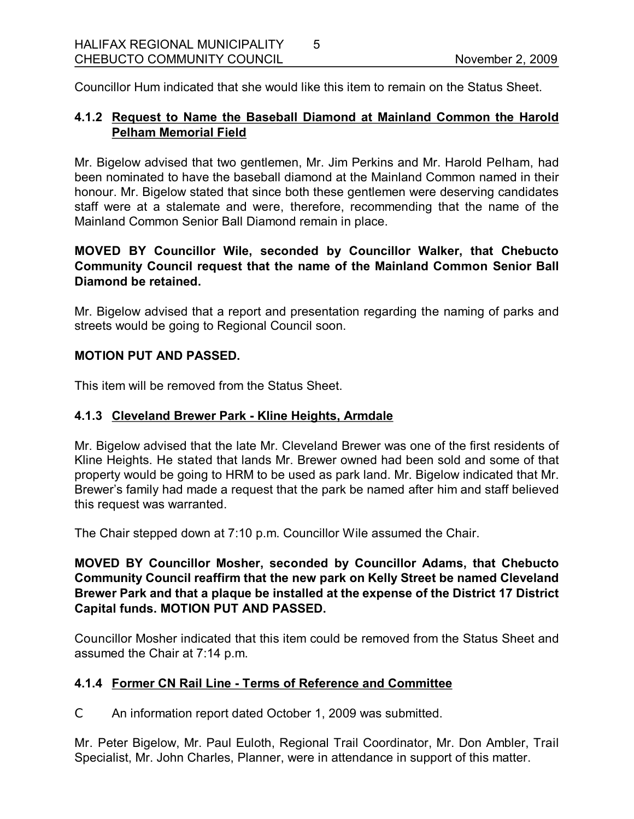Councillor Hum indicated that she would like this item to remain on the Status Sheet.

5

# **4.1.2 Request to Name the Baseball Diamond at Mainland Common the Harold Pelham Memorial Field**

Mr. Bigelow advised that two gentlemen, Mr. Jim Perkins and Mr. Harold Pelham, had been nominated to have the baseball diamond at the Mainland Common named in their honour. Mr. Bigelow stated that since both these gentlemen were deserving candidates staff were at a stalemate and were, therefore, recommending that the name of the Mainland Common Senior Ball Diamond remain in place.

### **MOVED BY Councillor Wile, seconded by Councillor Walker, that Chebucto Community Council request that the name of the Mainland Common Senior Ball Diamond be retained.**

Mr. Bigelow advised that a report and presentation regarding the naming of parks and streets would be going to Regional Council soon.

### **MOTION PUT AND PASSED.**

This item will be removed from the Status Sheet.

### **4.1.3 Cleveland Brewer Park Kline Heights, Armdale**

Mr. Bigelow advised that the late Mr. Cleveland Brewer was one of the first residents of Kline Heights. He stated that lands Mr. Brewer owned had been sold and some of that property would be going to HRM to be used as park land. Mr. Bigelow indicated that Mr. Brewer's family had made a request that the park be named after him and staff believed this request was warranted.

The Chair stepped down at 7:10 p.m. Councillor Wile assumed the Chair.

**MOVED BY Councillor Mosher, seconded by Councillor Adams, that Chebucto Community Council reaffirm that the new park on Kelly Street be named Cleveland Brewer Park and that a plaque be installed at the expense of the District 17 District Capital funds. MOTION PUT AND PASSED.**

Councillor Mosher indicated that this item could be removed from the Status Sheet and assumed the Chair at 7:14 p.m.

# **4.1.4 Former CN Rail Line Terms of Reference and Committee**

C An information report dated October 1, 2009 was submitted.

Mr. Peter Bigelow, Mr. Paul Euloth, Regional Trail Coordinator, Mr. Don Ambler, Trail Specialist, Mr. John Charles, Planner, were in attendance in support of this matter.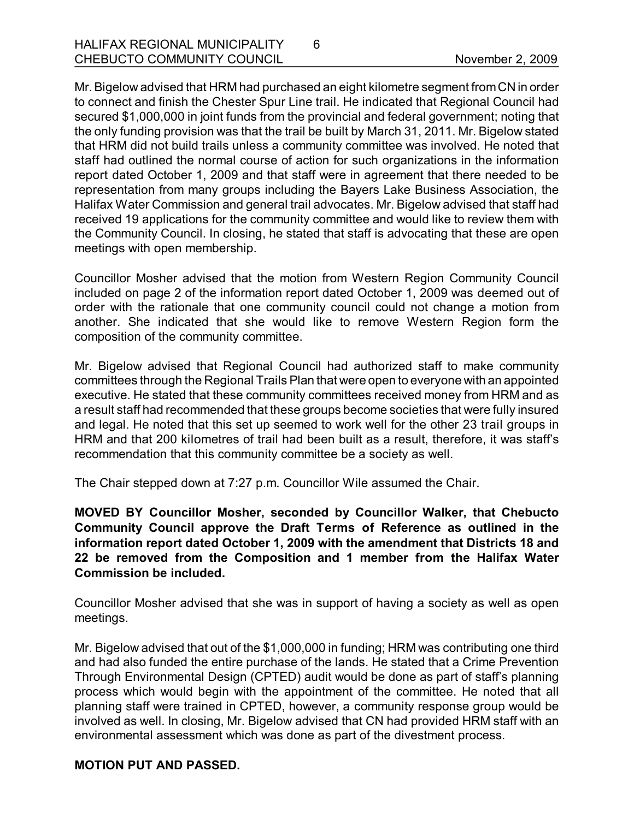Mr.Bigelow advised that HRM had purchased an eight kilometre segment fromCN in order to connect and finish the Chester Spur Line trail. He indicated that Regional Council had secured \$1,000,000 in joint funds from the provincial and federal government; noting that the only funding provision was that the trail be built by March 31, 2011. Mr. Bigelow stated that HRM did not build trails unless a community committee was involved. He noted that staff had outlined the normal course of action for such organizations in the information report dated October 1, 2009 and that staff were in agreement that there needed to be representation from many groups including the Bayers Lake Business Association, the Halifax Water Commission and general trail advocates. Mr. Bigelow advised that staff had received 19 applications for the community committee and would like to review them with the Community Council. In closing, he stated that staff is advocating that these are open meetings with open membership.

6

Councillor Mosher advised that the motion from Western Region Community Council included on page 2 of the information report dated October 1, 2009 was deemed out of order with the rationale that one community council could not change a motion from another. She indicated that she would like to remove Western Region form the composition of the community committee.

Mr. Bigelow advised that Regional Council had authorized staff to make community committees through the Regional Trails Plan that were open to everyone with an appointed executive. He stated that these community committees received money from HRM and as a result staff had recommended that these groups become societies that were fully insured and legal. He noted that this set up seemed to work well for the other 23 trail groups in HRM and that 200 kilometres of trail had been built as a result, therefore, it was staff's recommendation that this community committee be a society as well.

The Chair stepped down at 7:27 p.m. Councillor Wile assumed the Chair.

**MOVED BY Councillor Mosher, seconded by Councillor Walker, that Chebucto Community Council approve the Draft Terms of Reference as outlined in the information report dated October 1, 2009 with the amendment that Districts 18 and 22 be removed from the Composition and 1 member from the Halifax Water Commission be included.**

Councillor Mosher advised that she was in support of having a society as well as open meetings.

Mr. Bigelow advised that out of the \$1,000,000 in funding; HRM was contributing one third and had also funded the entire purchase of the lands. He stated that a Crime Prevention Through Environmental Design (CPTED) audit would be done as part of staff's planning process which would begin with the appointment of the committee. He noted that all planning staff were trained in CPTED, however, a community response group would be involved as well. In closing, Mr. Bigelow advised that CN had provided HRM staff with an environmental assessment which was done as part of the divestment process.

#### **MOTION PUT AND PASSED.**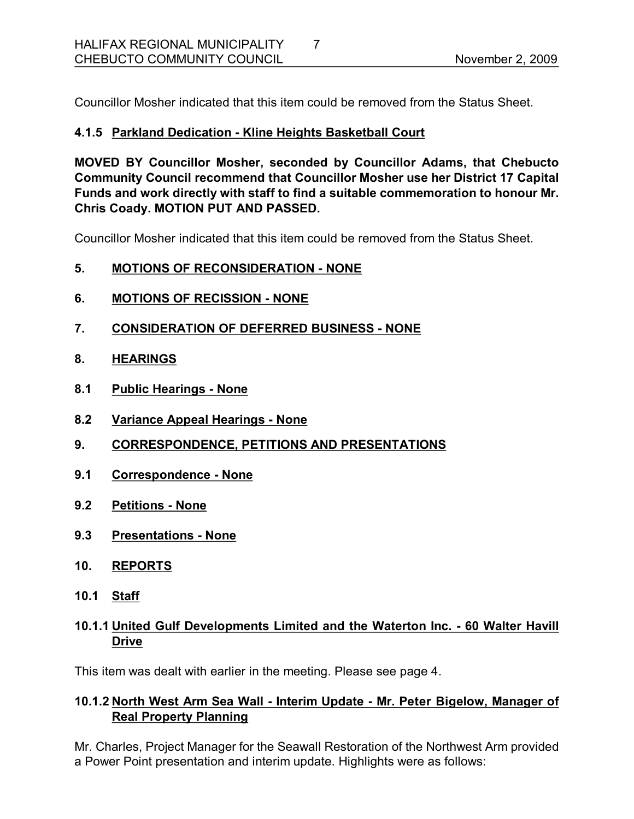Councillor Mosher indicated that this item could be removed from the Status Sheet.

# **4.1.5 Parkland Dedication Kline Heights Basketball Court**

**MOVED BY Councillor Mosher, seconded by Councillor Adams, that Chebucto Community Council recommend that Councillor Mosher use her District 17 Capital Funds and work directly with staff to find a suitable commemoration to honour Mr. Chris Coady. MOTION PUT AND PASSED.**

Councillor Mosher indicated that this item could be removed from the Status Sheet.

### **5. MOTIONS OF RECONSIDERATION NONE**

- **6. MOTIONS OF RECISSION NONE**
- **7. CONSIDERATION OF DEFERRED BUSINESS NONE**
- **8. HEARINGS**
- **8.1 Public Hearings None**
- **8.2 Variance Appeal Hearings None**
- **9. CORRESPONDENCE, PETITIONS AND PRESENTATIONS**
- **9.1 Correspondence None**
- **9.2 Petitions None**
- **9.3 Presentations None**
- **10. REPORTS**
- **10.1 Staff**

# **10.1.1 United Gulf Developments Limited and the Waterton Inc. 60 Walter Havill Drive**

This item was dealt with earlier in the meeting. Please see page 4.

# **10.1.2 North West Arm Sea Wall Interim Update Mr. Peter Bigelow, Manager of Real Property Planning**

Mr. Charles, Project Manager for the Seawall Restoration of the Northwest Arm provided a Power Point presentation and interim update. Highlights were as follows: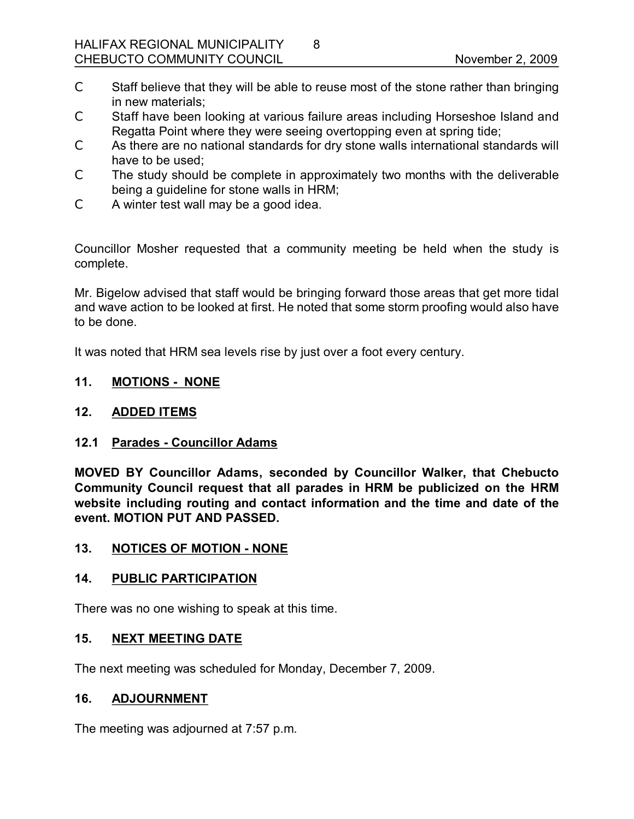C Staff believe that they will be able to reuse most of the stone rather than bringing in new materials;

8

- C Staff have been looking at various failure areas including Horseshoe Island and Regatta Point where they were seeing overtopping even at spring tide;
- C As there are no national standards for dry stone walls international standards will have to be used;
- C The study should be complete in approximately two months with the deliverable being a guideline for stone walls in HRM;
- C A winter test wall may be a good idea.

Councillor Mosher requested that a community meeting be held when the study is complete.

Mr. Bigelow advised that staff would be bringing forward those areas that get more tidal and wave action to be looked at first. He noted that some storm proofing would also have to be done.

It was noted that HRM sea levels rise by just over a foot every century.

### **11. MOTIONS NONE**

#### **12. ADDED ITEMS**

#### **12.1 Parades Councillor Adams**

**MOVED BY Councillor Adams, seconded by Councillor Walker, that Chebucto Community Council request that all parades in HRM be publicized on the HRM website including routing and contact information and the time and date of the event. MOTION PUT AND PASSED.** 

#### 13. NOTICES OF MOTION - NONE

#### **14. PUBLIC PARTICIPATION**

There was no one wishing to speak at this time.

### **15. NEXT MEETING DATE**

The next meeting was scheduled for Monday, December 7, 2009.

#### **16. ADJOURNMENT**

The meeting was adjourned at 7:57 p.m.